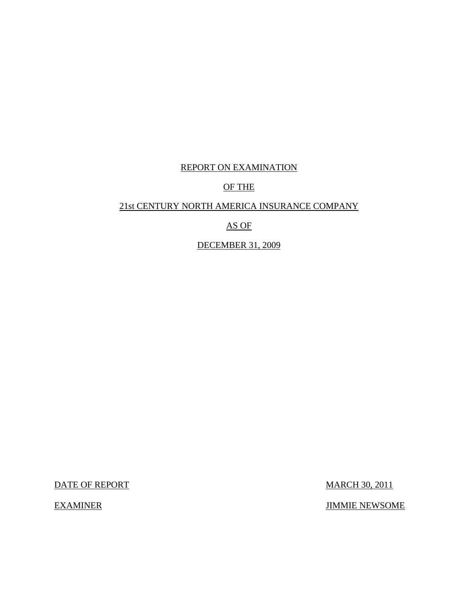## REPORT ON EXAMINATION

## OF THE

## 21st CENTURY NORTH AMERICA INSURANCE COMPANY

## AS OF

## DECEMBER 31, 2009

DATE OF REPORT MARCH 30, 2011

EXAMINER JIMMIE NEWSOME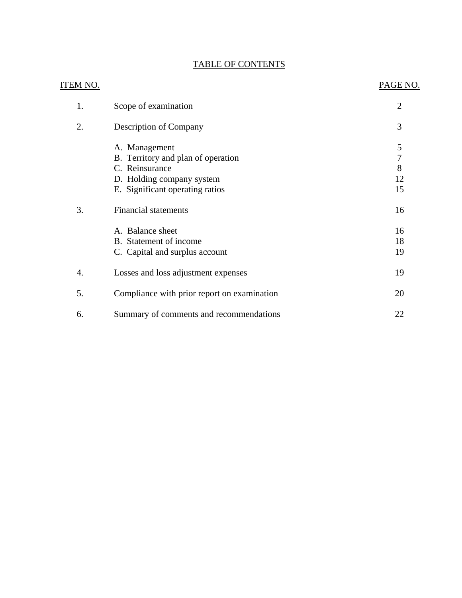## TABLE OF CONTENTS

| ITEM NO. |                                             | PAGE NO.       |
|----------|---------------------------------------------|----------------|
| 1.       | Scope of examination                        | $\overline{2}$ |
| 2.       | <b>Description of Company</b>               | 3              |
|          | A. Management                               | 5              |
|          | B. Territory and plan of operation          | $\overline{7}$ |
|          | C. Reinsurance                              | 8              |
|          | D. Holding company system                   | 12             |
|          | E. Significant operating ratios             | 15             |
| 3.       | <b>Financial statements</b>                 | 16             |
|          | A. Balance sheet                            | 16             |
|          | B. Statement of income                      | 18             |
|          | C. Capital and surplus account              | 19             |
| 4.       | Losses and loss adjustment expenses         | 19             |
| 5.       | Compliance with prior report on examination | 20             |
| 6.       | Summary of comments and recommendations     | 22             |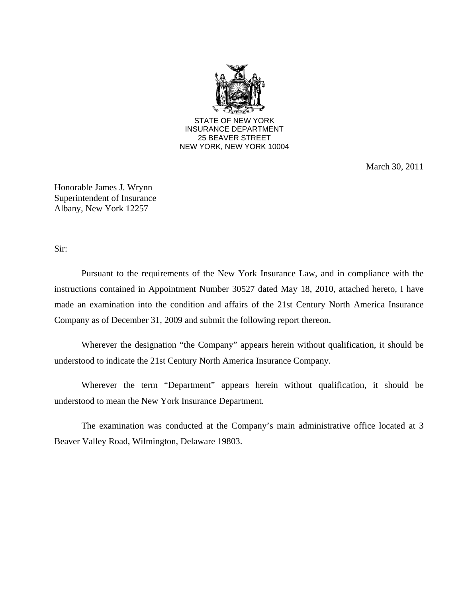

March 30, 2011

Honorable James J. Wrynn Superintendent of Insurance Albany, New York 12257

Sir:

Pursuant to the requirements of the New York Insurance Law, and in compliance with the instructions contained in Appointment Number 30527 dated May 18, 2010, attached hereto, I have made an examination into the condition and affairs of the 21st Century North America Insurance Company as of December 31, 2009 and submit the following report thereon.

Wherever the designation "the Company" appears herein without qualification, it should be understood to indicate the 21st Century North America Insurance Company.

Wherever the term "Department" appears herein without qualification, it should be understood to mean the New York Insurance Department.

The examination was conducted at the Company's main administrative office located at 3 Beaver Valley Road, Wilmington, Delaware 19803.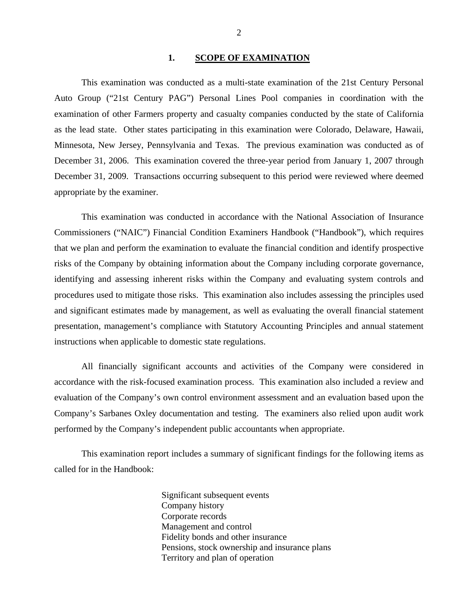#### 1. SCOPE OF EXAMINATION

<span id="page-3-0"></span>This examination was conducted as a multi-state examination of the 21st Century Personal Auto Group ("21st Century PAG") Personal Lines Pool companies in coordination with the examination of other Farmers property and casualty companies conducted by the state of California as the lead state. Other states participating in this examination were Colorado, Delaware, Hawaii, Minnesota, New Jersey, Pennsylvania and Texas. The previous examination was conducted as of December 31, 2006. This examination covered the three-year period from January 1, 2007 through December 31, 2009. Transactions occurring subsequent to this period were reviewed where deemed appropriate by the examiner.

This examination was conducted in accordance with the National Association of Insurance Commissioners ("NAIC") Financial Condition Examiners Handbook ("Handbook"), which requires that we plan and perform the examination to evaluate the financial condition and identify prospective risks of the Company by obtaining information about the Company including corporate governance, identifying and assessing inherent risks within the Company and evaluating system controls and procedures used to mitigate those risks. This examination also includes assessing the principles used and significant estimates made by management, as well as evaluating the overall financial statement presentation, management's compliance with Statutory Accounting Principles and annual statement instructions when applicable to domestic state regulations.

All financially significant accounts and activities of the Company were considered in accordance with the risk-focused examination process. This examination also included a review and evaluation of the Company's own control environment assessment and an evaluation based upon the Company's Sarbanes Oxley documentation and testing. The examiners also relied upon audit work performed by the Company's independent public accountants when appropriate.

This examination report includes a summary of significant findings for the following items as called for in the Handbook:

> Significant subsequent events Company history Corporate records Management and control Fidelity bonds and other insurance Pensions, stock ownership and insurance plans Territory and plan of operation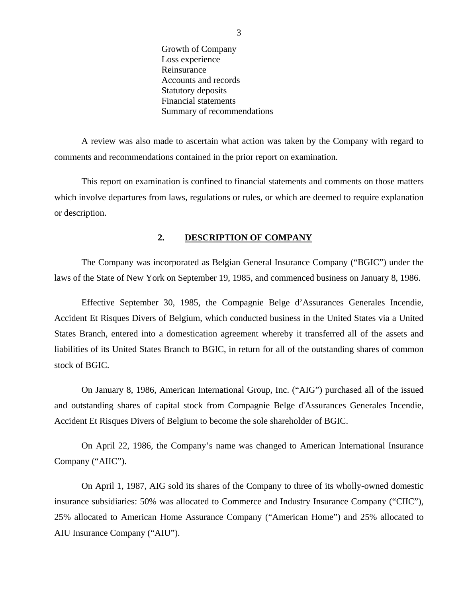Growth of Company Loss experience Reinsurance Accounts and records Statutory deposits Financial statements Summary of recommendations

<span id="page-4-0"></span>A review was also made to ascertain what action was taken by the Company with regard to comments and recommendations contained in the prior report on examination.

This report on examination is confined to financial statements and comments on those matters which involve departures from laws, regulations or rules, or which are deemed to require explanation or description.

#### **2. DESCRIPTION OF COMPANY**

The Company was incorporated as Belgian General Insurance Company ("BGIC") under the laws of the State of New York on September 19, 1985, and commenced business on January 8, 1986.

Effective September 30, 1985, the Compagnie Belge d'Assurances Generales Incendie, Accident Et Risques Divers of Belgium, which conducted business in the United States via a United States Branch, entered into a domestication agreement whereby it transferred all of the assets and liabilities of its United States Branch to BGIC, in return for all of the outstanding shares of common stock of BGIC.

On January 8, 1986, American International Group, Inc. ("AIG") purchased all of the issued and outstanding shares of capital stock from Compagnie Belge d'Assurances Generales Incendie, Accident Et Risques Divers of Belgium to become the sole shareholder of BGIC.

On April 22, 1986, the Company's name was changed to American International Insurance Company ("AIIC").

On April 1, 1987, AIG sold its shares of the Company to three of its wholly-owned domestic insurance subsidiaries: 50% was allocated to Commerce and Industry Insurance Company ("CIIC"), 25% allocated to American Home Assurance Company ("American Home") and 25% allocated to AIU Insurance Company ("AIU").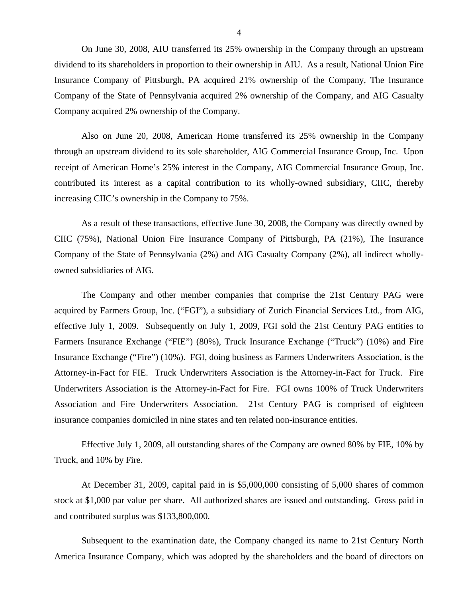On June 30, 2008, AIU transferred its 25% ownership in the Company through an upstream dividend to its shareholders in proportion to their ownership in AIU. As a result, National Union Fire Insurance Company of Pittsburgh, PA acquired 21% ownership of the Company, The Insurance Company of the State of Pennsylvania acquired 2% ownership of the Company, and AIG Casualty Company acquired 2% ownership of the Company.

Also on June 20, 2008, American Home transferred its 25% ownership in the Company through an upstream dividend to its sole shareholder, AIG Commercial Insurance Group, Inc. Upon receipt of American Home's 25% interest in the Company, AIG Commercial Insurance Group, Inc. contributed its interest as a capital contribution to its wholly-owned subsidiary, CIIC, thereby increasing CIIC's ownership in the Company to 75%.

As a result of these transactions, effective June 30, 2008, the Company was directly owned by CIIC (75%), National Union Fire Insurance Company of Pittsburgh, PA (21%), The Insurance Company of the State of Pennsylvania (2%) and AIG Casualty Company (2%), all indirect whollyowned subsidiaries of AIG.

The Company and other member companies that comprise the 21st Century PAG were acquired by Farmers Group, Inc. ("FGI"), a subsidiary of Zurich Financial Services Ltd., from AIG, effective July 1, 2009. Subsequently on July 1, 2009, FGI sold the 21st Century PAG entities to Farmers Insurance Exchange ("FIE") (80%), Truck Insurance Exchange ("Truck") (10%) and Fire Insurance Exchange ("Fire") (10%). FGI, doing business as Farmers Underwriters Association, is the Attorney-in-Fact for FIE. Truck Underwriters Association is the Attorney-in-Fact for Truck. Fire Underwriters Association is the Attorney-in-Fact for Fire. FGI owns 100% of Truck Underwriters Association and Fire Underwriters Association. 21st Century PAG is comprised of eighteen insurance companies domiciled in nine states and ten related non-insurance entities.

Effective July 1, 2009, all outstanding shares of the Company are owned 80% by FIE, 10% by Truck, and 10% by Fire.

At December 31, 2009, capital paid in is \$5,000,000 consisting of 5,000 shares of common stock at \$1,000 par value per share. All authorized shares are issued and outstanding. Gross paid in and contributed surplus was \$133,800,000.

Subsequent to the examination date, the Company changed its name to 21st Century North America Insurance Company, which was adopted by the shareholders and the board of directors on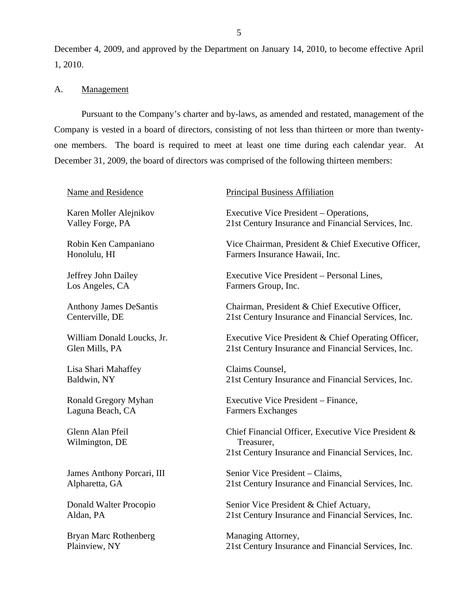<span id="page-6-0"></span>December 4, 2009, and approved by the Department on January 14, 2010, to become effective April 1, 2010.

## A. Management

Pursuant to the Company's charter and by-laws, as amended and restated, management of the Company is vested in a board of directors, consisting of not less than thirteen or more than twentyone members. The board is required to meet at least one time during each calendar year. At December 31, 2009, the board of directors was comprised of the following thirteen members:

| Name and Residence                 | <b>Principal Business Affiliation</b>                                                                                    |
|------------------------------------|--------------------------------------------------------------------------------------------------------------------------|
| Karen Moller Alejnikov             | Executive Vice President – Operations,                                                                                   |
| Valley Forge, PA                   | 21st Century Insurance and Financial Services, Inc.                                                                      |
| Robin Ken Campaniano               | Vice Chairman, President & Chief Executive Officer,                                                                      |
| Honolulu, HI                       | Farmers Insurance Hawaii, Inc.                                                                                           |
| Jeffrey John Dailey                | Executive Vice President – Personal Lines,                                                                               |
| Los Angeles, CA                    | Farmers Group, Inc.                                                                                                      |
| <b>Anthony James DeSantis</b>      | Chairman, President & Chief Executive Officer,                                                                           |
| Centerville, DE                    | 21st Century Insurance and Financial Services, Inc.                                                                      |
| William Donald Loucks, Jr.         | Executive Vice President & Chief Operating Officer,                                                                      |
| Glen Mills, PA                     | 21st Century Insurance and Financial Services, Inc.                                                                      |
| Lisa Shari Mahaffey                | Claims Counsel,                                                                                                          |
| Baldwin, NY                        | 21st Century Insurance and Financial Services, Inc.                                                                      |
| <b>Ronald Gregory Myhan</b>        | Executive Vice President - Finance,                                                                                      |
| Laguna Beach, CA                   | <b>Farmers Exchanges</b>                                                                                                 |
| Glenn Alan Pfeil<br>Wilmington, DE | Chief Financial Officer, Executive Vice President &<br>Treasurer,<br>21st Century Insurance and Financial Services, Inc. |
| James Anthony Porcari, III         | Senior Vice President - Claims,                                                                                          |
| Alpharetta, GA                     | 21st Century Insurance and Financial Services, Inc.                                                                      |
| Donald Walter Procopio             | Senior Vice President & Chief Actuary,                                                                                   |
| Aldan, PA                          | 21st Century Insurance and Financial Services, Inc.                                                                      |
| <b>Bryan Marc Rothenberg</b>       | Managing Attorney,                                                                                                       |
| Plainview, NY                      | 21st Century Insurance and Financial Services, Inc.                                                                      |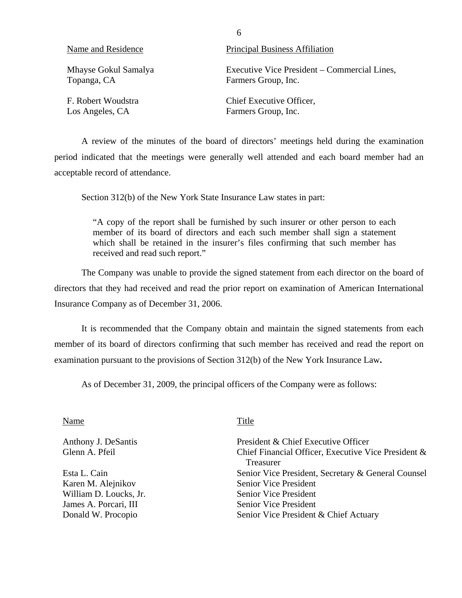| Name and Residence   | <b>Principal Business Affiliation</b>        |
|----------------------|----------------------------------------------|
| Mhayse Gokul Samalya | Executive Vice President – Commercial Lines, |
| Topanga, CA          | Farmers Group, Inc.                          |
| F. Robert Woudstra   | Chief Executive Officer,                     |
| Los Angeles, CA      | Farmers Group, Inc.                          |

A review of the minutes of the board of directors' meetings held during the examination period indicated that the meetings were generally well attended and each board member had an acceptable record of attendance.

Section 312(b) of the New York State Insurance Law states in part:

"A copy of the report shall be furnished by such insurer or other person to each member of its board of directors and each such member shall sign a statement which shall be retained in the insurer's files confirming that such member has received and read such report."

The Company was unable to provide the signed statement from each director on the board of directors that they had received and read the prior report on examination of American International Insurance Company as of December 31, 2006.

It is recommended that the Company obtain and maintain the signed statements from each member of its board of directors confirming that such member has received and read the report on examination pursuant to the provisions of Section 312(b) of the New York Insurance Law**.** 

As of December 31, 2009, the principal officers of the Company were as follows:

| Name                   | Title                                                            |
|------------------------|------------------------------------------------------------------|
| Anthony J. DeSantis    | President & Chief Executive Officer                              |
| Glenn A. Pfeil         | Chief Financial Officer, Executive Vice President &<br>Treasurer |
| Esta L. Cain           | Senior Vice President, Secretary & General Counsel               |
| Karen M. Alejnikov     | <b>Senior Vice President</b>                                     |
| William D. Loucks, Jr. | <b>Senior Vice President</b>                                     |
| James A. Porcari, III  | <b>Senior Vice President</b>                                     |
| Donald W. Procopio     | Senior Vice President & Chief Actuary                            |
|                        |                                                                  |

6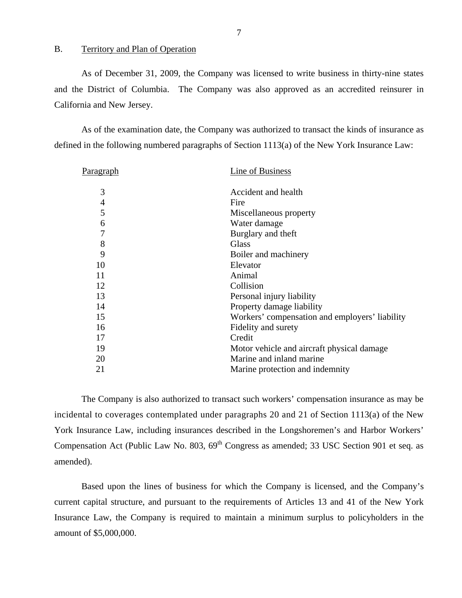#### <span id="page-8-0"></span>B. Territory and Plan of Operation

As of December 31, 2009, the Company was licensed to write business in thirty-nine states and the District of Columbia. The Company was also approved as an accredited reinsurer in California and New Jersey.

As of the examination date, the Company was authorized to transact the kinds of insurance as defined in the following numbered paragraphs of Section 1113(a) of the New York Insurance Law:

| P <u>aragraph</u>        | Line of Business                               |
|--------------------------|------------------------------------------------|
| 3                        | Accident and health                            |
| $\overline{\mathcal{A}}$ | Fire                                           |
| 5                        | Miscellaneous property                         |
| 6                        | Water damage                                   |
| $\overline{7}$           | Burglary and theft                             |
| 8                        | <b>Glass</b>                                   |
| 9                        | Boiler and machinery                           |
| 10                       | Elevator                                       |
| 11                       | Animal                                         |
| 12                       | Collision                                      |
| 13                       | Personal injury liability                      |
| 14                       | Property damage liability                      |
| 15                       | Workers' compensation and employers' liability |
| 16                       | Fidelity and surety                            |
| 17                       | Credit                                         |
| 19                       | Motor vehicle and aircraft physical damage     |
| 20                       | Marine and inland marine                       |
| 21                       | Marine protection and indemnity                |
|                          |                                                |

The Company is also authorized to transact such workers' compensation insurance as may be incidental to coverages contemplated under paragraphs 20 and 21 of Section 1113(a) of the New York Insurance Law, including insurances described in the Longshoremen's and Harbor Workers' Compensation Act (Public Law No. 803,  $69<sup>th</sup>$  Congress as amended; 33 USC Section 901 et seq. as amended).

Based upon the lines of business for which the Company is licensed, and the Company's current capital structure, and pursuant to the requirements of Articles 13 and 41 of the New York Insurance Law, the Company is required to maintain a minimum surplus to policyholders in the amount of \$5,000,000.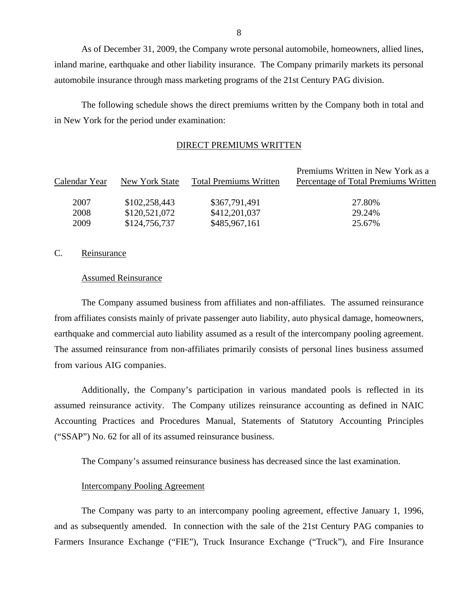As of December 31, 2009, the Company wrote personal automobile, homeowners, allied lines, inland marine, earthquake and other liability insurance. The Company primarily markets its personal automobile insurance through mass marketing programs of the 21st Century PAG division.

The following schedule shows the direct premiums written by the Company both in total and in New York for the period under examination:

#### DIRECT PREMIUMS WRITTEN

| New York State | <b>Total Premiums Written</b> | Premiums Written in New York as a<br>Percentage of Total Premiums Written |
|----------------|-------------------------------|---------------------------------------------------------------------------|
| \$102,258,443  | \$367,791,491                 | 27.80%                                                                    |
| \$120,521,072  | \$412,201,037                 | 29.24%                                                                    |
| \$124,756,737  | \$485,967,161                 | 25.67%                                                                    |
|                |                               |                                                                           |

### C. Reinsurance

#### Assumed Reinsurance

The Company assumed business from affiliates and non-affiliates. The assumed reinsurance from affiliates consists mainly of private passenger auto liability, auto physical damage, homeowners, earthquake and commercial auto liability assumed as a result of the intercompany pooling agreement. The assumed reinsurance from non-affiliates primarily consists of personal lines business assumed from various AIG companies.

Additionally, the Company's participation in various mandated pools is reflected in its assumed reinsurance activity. The Company utilizes reinsurance accounting as defined in NAIC Accounting Practices and Procedures Manual, Statements of Statutory Accounting Principles ("SSAP") No. 62 for all of its assumed reinsurance business.

The Company's assumed reinsurance business has decreased since the last examination.

## Intercompany Pooling Agreement

The Company was party to an intercompany pooling agreement, effective January 1, 1996, and as subsequently amended. In connection with the sale of the 21st Century PAG companies to Farmers Insurance Exchange ("FIE"), Truck Insurance Exchange ("Truck"), and Fire Insurance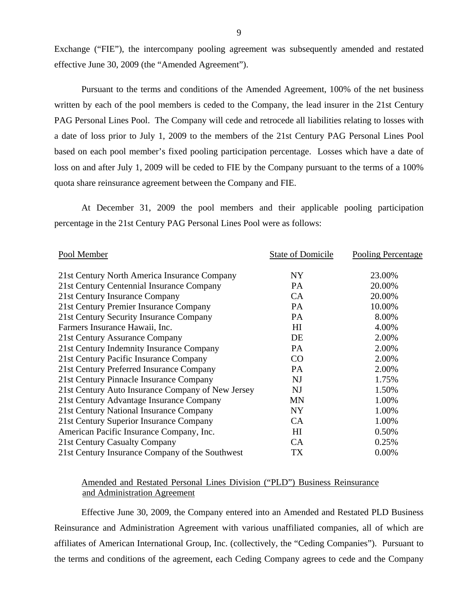Exchange ("FIE"), the intercompany pooling agreement was subsequently amended and restated effective June 30, 2009 (the "Amended Agreement").

Pursuant to the terms and conditions of the Amended Agreement, 100% of the net business written by each of the pool members is ceded to the Company, the lead insurer in the 21st Century PAG Personal Lines Pool. The Company will cede and retrocede all liabilities relating to losses with a date of loss prior to July 1, 2009 to the members of the 21st Century PAG Personal Lines Pool based on each pool member's fixed pooling participation percentage. Losses which have a date of loss on and after July 1, 2009 will be ceded to FIE by the Company pursuant to the terms of a 100% quota share reinsurance agreement between the Company and FIE.

At December 31, 2009 the pool members and their applicable pooling participation percentage in the 21st Century PAG Personal Lines Pool were as follows:

| Pool Member                                       | <b>State of Domicile</b> | Pooling Percentage |
|---------------------------------------------------|--------------------------|--------------------|
| 21st Century North America Insurance Company      | NY                       | 23.00%             |
| 21st Century Centennial Insurance Company         | PA                       | 20.00%             |
| 21st Century Insurance Company                    | CA                       | 20.00%             |
| 21st Century Premier Insurance Company            | PA                       | 10.00%             |
| 21st Century Security Insurance Company           | <b>PA</b>                | 8.00%              |
| Farmers Insurance Hawaii, Inc.                    | H <sub>I</sub>           | 4.00%              |
| 21st Century Assurance Company                    | DE                       | 2.00%              |
| 21st Century Indemnity Insurance Company          | PA                       | 2.00%              |
| 21st Century Pacific Insurance Company            | CO                       | 2.00%              |
| 21st Century Preferred Insurance Company          | <b>PA</b>                | 2.00%              |
| 21st Century Pinnacle Insurance Company           | <b>NJ</b>                | 1.75%              |
| 21st Century Auto Insurance Company of New Jersey | <b>NJ</b>                | 1.50%              |
| 21st Century Advantage Insurance Company          | <b>MN</b>                | 1.00%              |
| 21st Century National Insurance Company           | <b>NY</b>                | 1.00%              |
| 21st Century Superior Insurance Company           | CA                       | 1.00%              |
| American Pacific Insurance Company, Inc.          | H <sub>I</sub>           | 0.50%              |
| 21st Century Casualty Company                     | CA                       | 0.25%              |
| 21st Century Insurance Company of the Southwest   | TX                       | 0.00%              |

## Amended and Restated Personal Lines Division ("PLD") Business Reinsurance and Administration Agreement

Effective June 30, 2009, the Company entered into an Amended and Restated PLD Business Reinsurance and Administration Agreement with various unaffiliated companies, all of which are affiliates of American International Group, Inc. (collectively, the "Ceding Companies"). Pursuant to the terms and conditions of the agreement, each Ceding Company agrees to cede and the Company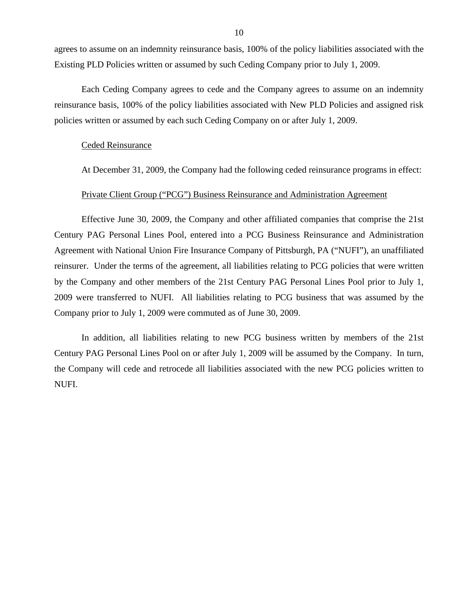agrees to assume on an indemnity reinsurance basis, 100% of the policy liabilities associated with the Existing PLD Policies written or assumed by such Ceding Company prior to July 1, 2009.

Each Ceding Company agrees to cede and the Company agrees to assume on an indemnity reinsurance basis, 100% of the policy liabilities associated with New PLD Policies and assigned risk policies written or assumed by each such Ceding Company on or after July 1, 2009.

#### Ceded Reinsurance

At December 31, 2009, the Company had the following ceded reinsurance programs in effect:

## Private Client Group ("PCG") Business Reinsurance and Administration Agreement

Effective June 30, 2009, the Company and other affiliated companies that comprise the 21st Century PAG Personal Lines Pool, entered into a PCG Business Reinsurance and Administration Agreement with National Union Fire Insurance Company of Pittsburgh, PA ("NUFI"), an unaffiliated reinsurer. Under the terms of the agreement, all liabilities relating to PCG policies that were written by the Company and other members of the 21st Century PAG Personal Lines Pool prior to July 1, 2009 were transferred to NUFI. All liabilities relating to PCG business that was assumed by the Company prior to July 1, 2009 were commuted as of June 30, 2009.

In addition, all liabilities relating to new PCG business written by members of the 21st Century PAG Personal Lines Pool on or after July 1, 2009 will be assumed by the Company. In turn, the Company will cede and retrocede all liabilities associated with the new PCG policies written to NUFI.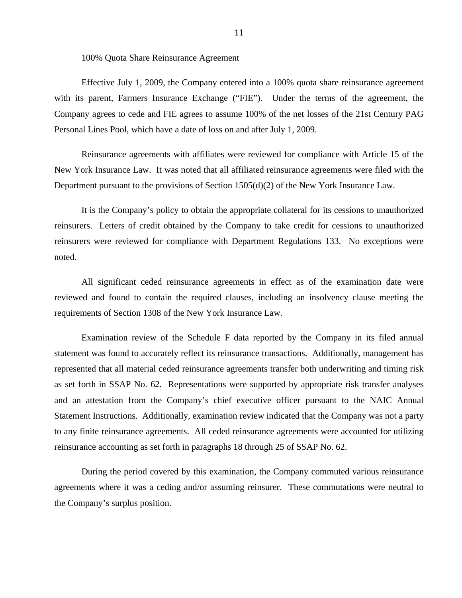#### 100% Quota Share Reinsurance Agreement

Effective July 1, 2009, the Company entered into a 100% quota share reinsurance agreement with its parent, Farmers Insurance Exchange ("FIE"). Under the terms of the agreement, the Company agrees to cede and FIE agrees to assume 100% of the net losses of the 21st Century PAG Personal Lines Pool, which have a date of loss on and after July 1, 2009.

Reinsurance agreements with affiliates were reviewed for compliance with Article 15 of the New York Insurance Law. It was noted that all affiliated reinsurance agreements were filed with the Department pursuant to the provisions of Section 1505(d)(2) of the New York Insurance Law.

It is the Company's policy to obtain the appropriate collateral for its cessions to unauthorized reinsurers. Letters of credit obtained by the Company to take credit for cessions to unauthorized reinsurers were reviewed for compliance with Department Regulations 133. No exceptions were noted.

All significant ceded reinsurance agreements in effect as of the examination date were reviewed and found to contain the required clauses, including an insolvency clause meeting the requirements of Section 1308 of the New York Insurance Law.

Examination review of the Schedule F data reported by the Company in its filed annual statement was found to accurately reflect its reinsurance transactions. Additionally, management has represented that all material ceded reinsurance agreements transfer both underwriting and timing risk as set forth in SSAP No. 62. Representations were supported by appropriate risk transfer analyses and an attestation from the Company's chief executive officer pursuant to the NAIC Annual Statement Instructions. Additionally, examination review indicated that the Company was not a party to any finite reinsurance agreements. All ceded reinsurance agreements were accounted for utilizing reinsurance accounting as set forth in paragraphs 18 through 25 of SSAP No. 62.

During the period covered by this examination, the Company commuted various reinsurance agreements where it was a ceding and/or assuming reinsurer. These commutations were neutral to the Company's surplus position.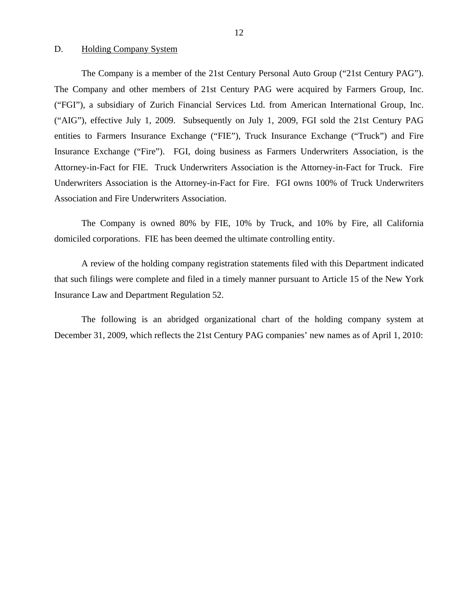#### <span id="page-13-0"></span>D. Holding Company System

The Company is a member of the 21st Century Personal Auto Group ("21st Century PAG"). The Company and other members of 21st Century PAG were acquired by Farmers Group, Inc. ("FGI"), a subsidiary of Zurich Financial Services Ltd. from American International Group, Inc. ("AIG"), effective July 1, 2009. Subsequently on July 1, 2009, FGI sold the 21st Century PAG entities to Farmers Insurance Exchange ("FIE"), Truck Insurance Exchange ("Truck") and Fire Insurance Exchange ("Fire"). FGI, doing business as Farmers Underwriters Association, is the Attorney-in-Fact for FIE. Truck Underwriters Association is the Attorney-in-Fact for Truck. Fire Underwriters Association is the Attorney-in-Fact for Fire. FGI owns 100% of Truck Underwriters Association and Fire Underwriters Association.

The Company is owned 80% by FIE, 10% by Truck, and 10% by Fire, all California domiciled corporations. FIE has been deemed the ultimate controlling entity.

A review of the holding company registration statements filed with this Department indicated that such filings were complete and filed in a timely manner pursuant to Article 15 of the New York Insurance Law and Department Regulation 52.

The following is an abridged organizational chart of the holding company system at December 31, 2009, which reflects the 21st Century PAG companies' new names as of April 1, 2010: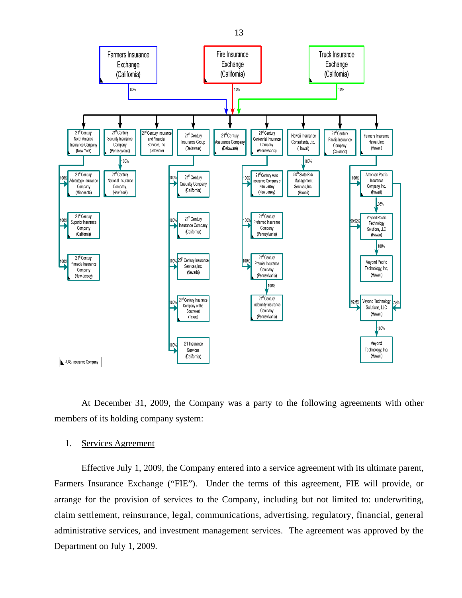

At December 31, 2009, the Company was a party to the following agreements with other members of its holding company system:

### 1. Services Agreement

Effective July 1, 2009, the Company entered into a service agreement with its ultimate parent, Farmers Insurance Exchange ("FIE"). Under the terms of this agreement, FIE will provide, or arrange for the provision of services to the Company, including but not limited to: underwriting, claim settlement, reinsurance, legal, communications, advertising, regulatory, financial, general administrative services, and investment management services. The agreement was approved by the Department on July 1, 2009.

13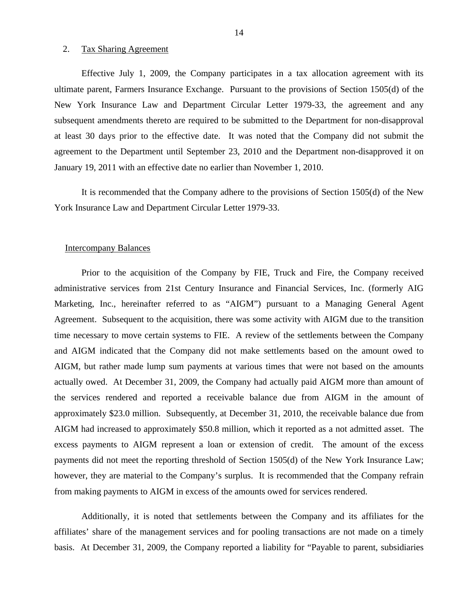#### 2. Tax Sharing Agreement

Effective July 1, 2009, the Company participates in a tax allocation agreement with its ultimate parent, Farmers Insurance Exchange. Pursuant to the provisions of Section 1505(d) of the New York Insurance Law and Department Circular Letter 1979-33, the agreement and any subsequent amendments thereto are required to be submitted to the Department for non-disapproval at least 30 days prior to the effective date. It was noted that the Company did not submit the agreement to the Department until September 23, 2010 and the Department non-disapproved it on January 19, 2011 with an effective date no earlier than November 1, 2010.

It is recommended that the Company adhere to the provisions of Section 1505(d) of the New York Insurance Law and Department Circular Letter 1979-33.

#### Intercompany Balances

Prior to the acquisition of the Company by FIE, Truck and Fire, the Company received administrative services from 21st Century Insurance and Financial Services, Inc. (formerly AIG Marketing, Inc., hereinafter referred to as "AIGM") pursuant to a Managing General Agent Agreement. Subsequent to the acquisition, there was some activity with AIGM due to the transition time necessary to move certain systems to FIE. A review of the settlements between the Company and AIGM indicated that the Company did not make settlements based on the amount owed to AIGM, but rather made lump sum payments at various times that were not based on the amounts actually owed. At December 31, 2009, the Company had actually paid AIGM more than amount of the services rendered and reported a receivable balance due from AIGM in the amount of approximately \$23.0 million. Subsequently, at December 31, 2010, the receivable balance due from AIGM had increased to approximately \$50.8 million, which it reported as a not admitted asset. The excess payments to AIGM represent a loan or extension of credit. The amount of the excess payments did not meet the reporting threshold of Section 1505(d) of the New York Insurance Law; however, they are material to the Company's surplus. It is recommended that the Company refrain from making payments to AIGM in excess of the amounts owed for services rendered.

Additionally, it is noted that settlements between the Company and its affiliates for the affiliates' share of the management services and for pooling transactions are not made on a timely basis. At December 31, 2009, the Company reported a liability for "Payable to parent, subsidiaries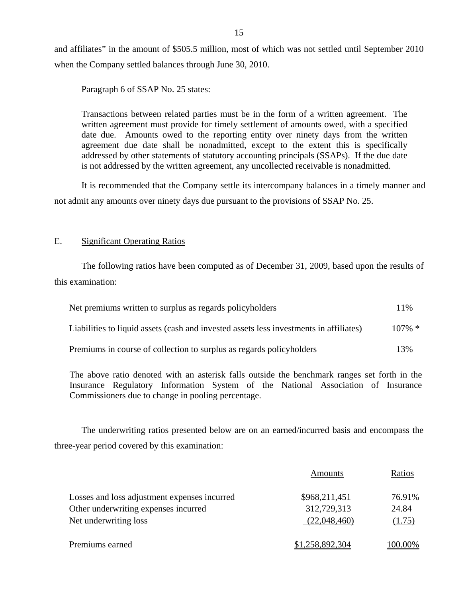and affiliates" in the amount of \$505.5 million, most of which was not settled until September 2010 when the Company settled balances through June 30, 2010.

Paragraph 6 of SSAP No. 25 states:

Transactions between related parties must be in the form of a written agreement. The written agreement must provide for timely settlement of amounts owed, with a specified date due. Amounts owed to the reporting entity over ninety days from the written agreement due date shall be nonadmitted, except to the extent this is specifically addressed by other statements of statutory accounting principals (SSAPs). If the due date is not addressed by the written agreement, any uncollected receivable is nonadmitted.

It is recommended that the Company settle its intercompany balances in a timely manner and not admit any amounts over ninety days due pursuant to the provisions of SSAP No. 25.

## E. Significant Operating Ratios

The following ratios have been computed as of December 31, 2009, based upon the results of this examination:

| Net premiums written to surplus as regards policyholders                               | 11%       |
|----------------------------------------------------------------------------------------|-----------|
| Liabilities to liquid assets (cash and invested assets less investments in affiliates) | $107\%$ * |
| Premiums in course of collection to surplus as regards policyholders                   | 13%       |

The above ratio denoted with an asterisk falls outside the benchmark ranges set forth in the Insurance Regulatory Information System of the National Association of Insurance Commissioners due to change in pooling percentage.

The underwriting ratios presented below are on an earned/incurred basis and encompass the three-year period covered by this examination:

|                                              | Amounts         | Ratios  |
|----------------------------------------------|-----------------|---------|
| Losses and loss adjustment expenses incurred | \$968,211,451   | 76.91%  |
| Other underwriting expenses incurred         | 312,729,313     | 24.84   |
| Net underwriting loss                        | (22,048,460)    | (1.75)  |
| Premiums earned                              | \$1,258,892,304 | 100.00% |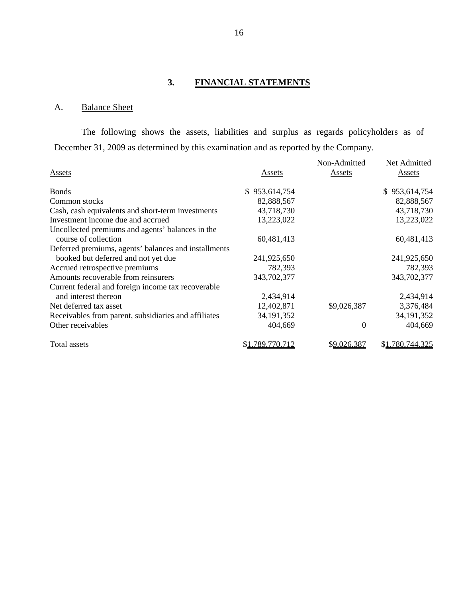## **3. FINANCIAL STATEMENTS**

## A. Balance Sheet

The following shows the assets, liabilities and surplus as regards policyholders as of December 31, 2009 as determined by this examination and as reported by the Company.

| Assets                                               | Assets          | Non-Admitted<br>Assets | Net Admitted<br>Assets |
|------------------------------------------------------|-----------------|------------------------|------------------------|
| <b>Bonds</b>                                         | \$953,614,754   |                        | \$953,614,754          |
| Common stocks                                        | 82,888,567      |                        | 82,888,567             |
| Cash, cash equivalents and short-term investments    | 43,718,730      |                        | 43,718,730             |
| Investment income due and accrued                    | 13,223,022      |                        | 13,223,022             |
| Uncollected premiums and agents' balances in the     |                 |                        |                        |
| course of collection                                 | 60,481,413      |                        | 60,481,413             |
| Deferred premiums, agents' balances and installments |                 |                        |                        |
| booked but deferred and not yet due                  | 241,925,650     |                        | 241,925,650            |
| Accrued retrospective premiums                       | 782,393         |                        | 782,393                |
| Amounts recoverable from reinsurers                  | 343,702,377     |                        | 343,702,377            |
| Current federal and foreign income tax recoverable   |                 |                        |                        |
| and interest thereon                                 | 2,434,914       |                        | 2,434,914              |
| Net deferred tax asset                               | 12,402,871      | \$9,026,387            | 3,376,484              |
| Receivables from parent, subsidiaries and affiliates | 34, 191, 352    |                        | 34, 191, 352           |
| Other receivables                                    | 404,669         | $\theta$               | 404,669                |
| Total assets                                         | \$1,789,770,712 | \$9,026,387            | \$1,780,744,325        |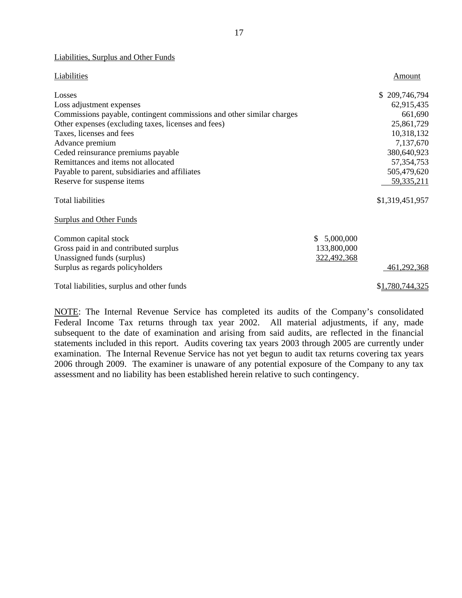#### Liabilities, Surplus and Other Funds

| Liabilities                                                           |                 | Amount          |
|-----------------------------------------------------------------------|-----------------|-----------------|
| Losses                                                                |                 | \$209,746,794   |
| Loss adjustment expenses                                              |                 | 62,915,435      |
| Commissions payable, contingent commissions and other similar charges |                 | 661,690         |
| Other expenses (excluding taxes, licenses and fees)                   |                 | 25,861,729      |
| Taxes, licenses and fees                                              |                 | 10,318,132      |
| Advance premium                                                       |                 | 7,137,670       |
| Ceded reinsurance premiums payable                                    |                 | 380,640,923     |
| Remittances and items not allocated                                   |                 | 57, 354, 753    |
| Payable to parent, subsidiaries and affiliates                        |                 | 505,479,620     |
| Reserve for suspense items                                            |                 | 59, 335, 211    |
| <b>Total liabilities</b>                                              |                 | \$1,319,451,957 |
| <b>Surplus and Other Funds</b>                                        |                 |                 |
| Common capital stock                                                  | 5,000,000<br>S. |                 |
| Gross paid in and contributed surplus                                 | 133,800,000     |                 |
| Unassigned funds (surplus)                                            | 322,492,368     |                 |
| Surplus as regards policyholders                                      |                 | 461,292,368     |
| Total liabilities, surplus and other funds                            |                 | \$1,780,744,325 |

NOTE: The Internal Revenue Service has completed its audits of the Company's consolidated Federal Income Tax returns through tax year 2002. All material adjustments, if any, made subsequent to the date of examination and arising from said audits, are reflected in the financial statements included in this report. Audits covering tax years 2003 through 2005 are currently under examination. The Internal Revenue Service has not yet begun to audit tax returns covering tax years 2006 through 2009. The examiner is unaware of any potential exposure of the Company to any tax assessment and no liability has been established herein relative to such contingency.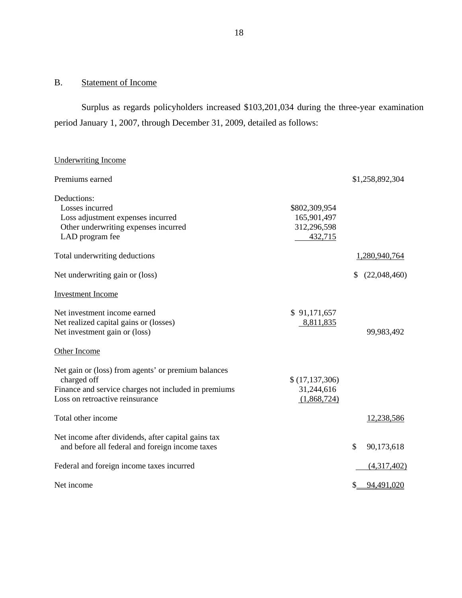## <span id="page-19-0"></span>B. Statement of Income

Surplus as regards policyholders increased \$103,201,034 during the three-year examination period January 1, 2007, through December 31, 2009, detailed as follows:

## Underwriting Income

| Premiums earned                                                                                                                                               |                                                        |               | \$1,258,892,304 |
|---------------------------------------------------------------------------------------------------------------------------------------------------------------|--------------------------------------------------------|---------------|-----------------|
| Deductions:<br>Losses incurred<br>Loss adjustment expenses incurred<br>Other underwriting expenses incurred<br>LAD program fee                                | \$802,309,954<br>165,901,497<br>312,296,598<br>432,715 |               |                 |
| Total underwriting deductions                                                                                                                                 |                                                        |               | 1,280,940,764   |
| Net underwriting gain or (loss)                                                                                                                               |                                                        | S             | (22,048,460)    |
| <b>Investment Income</b>                                                                                                                                      |                                                        |               |                 |
| Net investment income earned<br>Net realized capital gains or (losses)<br>Net investment gain or (loss)                                                       | \$91,171,657<br>8,811,835                              |               | 99,983,492      |
| Other Income                                                                                                                                                  |                                                        |               |                 |
| Net gain or (loss) from agents' or premium balances<br>charged off<br>Finance and service charges not included in premiums<br>Loss on retroactive reinsurance | \$(17, 137, 306)<br>31,244,616<br>(1,868,724)          |               |                 |
| Total other income                                                                                                                                            |                                                        |               | 12,238,586      |
| Net income after dividends, after capital gains tax<br>and before all federal and foreign income taxes                                                        |                                                        | $\mathcal{S}$ | 90,173,618      |
| Federal and foreign income taxes incurred                                                                                                                     |                                                        |               | (4,317,402)     |
| Net income                                                                                                                                                    |                                                        |               | 94,491,020      |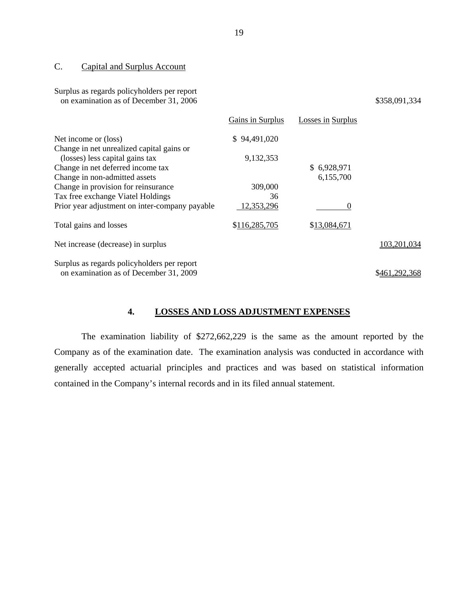## C. Capital and Surplus Account

Surplus as regards policyholders per report

| on examination as of December 31, 2006         |                  |                          | \$358,091,334 |
|------------------------------------------------|------------------|--------------------------|---------------|
|                                                | Gains in Surplus | <b>Losses in Surplus</b> |               |
| Net income or (loss)                           | \$94,491,020     |                          |               |
| Change in net unrealized capital gains or      |                  |                          |               |
| (losses) less capital gains tax                | 9,132,353        |                          |               |
| Change in net deferred income tax              |                  | \$6,928,971              |               |
| Change in non-admitted assets                  |                  | 6,155,700                |               |
| Change in provision for reinsurance            | 309,000          |                          |               |
| Tax free exchange Viatel Holdings              | 36               |                          |               |
| Prior year adjustment on inter-company payable | 12,353,296       | $\theta$                 |               |
| Total gains and losses                         | \$116,285,705    | \$13,084,671             |               |
| Net increase (decrease) in surplus             |                  |                          | 103,201,034   |
| Surplus as regards policyholders per report    |                  |                          |               |
| on examination as of December 31, 2009         |                  |                          | \$461,292,368 |

## **4. LOSSES AND LOSS ADJUSTMENT EXPENSES**

The examination liability of \$272,662,229 is the same as the amount reported by the Company as of the examination date. The examination analysis was conducted in accordance with generally accepted actuarial principles and practices and was based on statistical information contained in the Company's internal records and in its filed annual statement.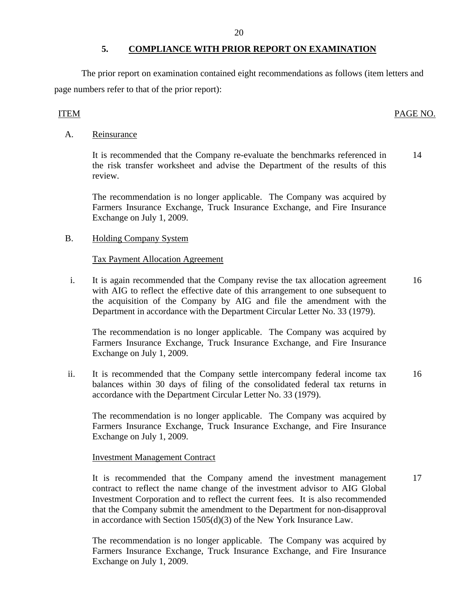## **5. COMPLIANCE WITH PRIOR REPORT ON EXAMINATION**

The prior report on examination contained eight recommendations as follows (item letters and page numbers refer to that of the prior report):

## ITEM PAGE NO.

## A. Reinsurance

It is recommended that the Company re-evaluate the benchmarks referenced in the risk transfer worksheet and advise the Department of the results of this review. 14

The recommendation is no longer applicable. The Company was acquired by Farmers Insurance Exchange, Truck Insurance Exchange, and Fire Insurance Exchange on July 1, 2009.

## B. Holding Company System

## Tax Payment Allocation Agreement

i. It is again recommended that the Company revise the tax allocation agreement with AIG to reflect the effective date of this arrangement to one subsequent to the acquisition of the Company by AIG and file the amendment with the Department in accordance with the Department Circular Letter No. 33 (1979). 16

The recommendation is no longer applicable. The Company was acquired by Farmers Insurance Exchange, Truck Insurance Exchange, and Fire Insurance Exchange on July 1, 2009.

ii. It is recommended that the Company settle intercompany federal income tax balances within 30 days of filing of the consolidated federal tax returns in accordance with the Department Circular Letter No. 33 (1979). 16

The recommendation is no longer applicable. The Company was acquired by Farmers Insurance Exchange, Truck Insurance Exchange, and Fire Insurance Exchange on July 1, 2009.

### Investment Management Contract

It is recommended that the Company amend the investment management contract to reflect the name change of the investment advisor to AIG Global Investment Corporation and to reflect the current fees. It is also recommended that the Company submit the amendment to the Department for non-disapproval in accordance with Section 1505(d)(3) of the New York Insurance Law. 17

The recommendation is no longer applicable. The Company was acquired by Farmers Insurance Exchange, Truck Insurance Exchange, and Fire Insurance Exchange on July 1, 2009.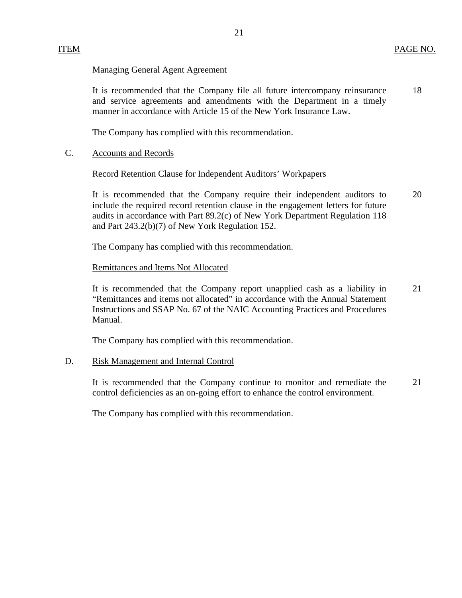## Managing General Agent Agreement

It is recommended that the Company file all future intercompany reinsurance 18 and service agreements and amendments with the Department in a timely manner in accordance with Article 15 of the New York Insurance Law.

The Company has complied with this recommendation.

## C. Accounts and Records

### Record Retention Clause for Independent Auditors' Workpapers

It is recommended that the Company require their independent auditors to 20 include the required record retention clause in the engagement letters for future audits in accordance with Part 89.2(c) of New York Department Regulation 118 and Part 243.2(b)(7) of New York Regulation 152.

The Company has complied with this recommendation.

## Remittances and Items Not Allocated

It is recommended that the Company report unapplied cash as a liability in 21 "Remittances and items not allocated" in accordance with the Annual Statement Instructions and SSAP No. 67 of the NAIC Accounting Practices and Procedures Manual.

The Company has complied with this recommendation.

## D. Risk Management and Internal Control

It is recommended that the Company continue to monitor and remediate the 21 control deficiencies as an on-going effort to enhance the control environment.

The Company has complied with this recommendation.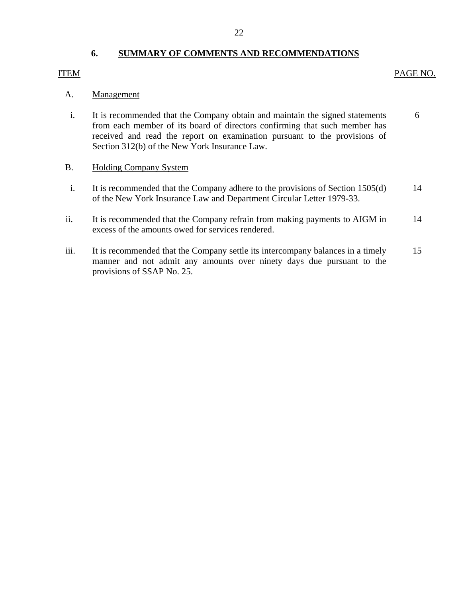### 22

## **6. SUMMARY OF COMMENTS AND RECOMMENDATIONS**

## <span id="page-23-0"></span>ITEM PAGE NO.

## A. Management

- i. It is recommended that the Company obtain and maintain the signed statements 6 from each member of its board of directors confirming that such member has received and read the report on examination pursuant to the provisions of Section 312(b) of the New York Insurance Law.
- B. Holding Company System
- i. It is recommended that the Company adhere to the provisions of Section 1505(d) 14 of the New York Insurance Law and Department Circular Letter 1979-33.
- ii. It is recommended that the Company refrain from making payments to AIGM in 14 excess of the amounts owed for services rendered.
- iii. It is recommended that the Company settle its intercompany balances in a timely 15 manner and not admit any amounts over ninety days due pursuant to the provisions of SSAP No. 25.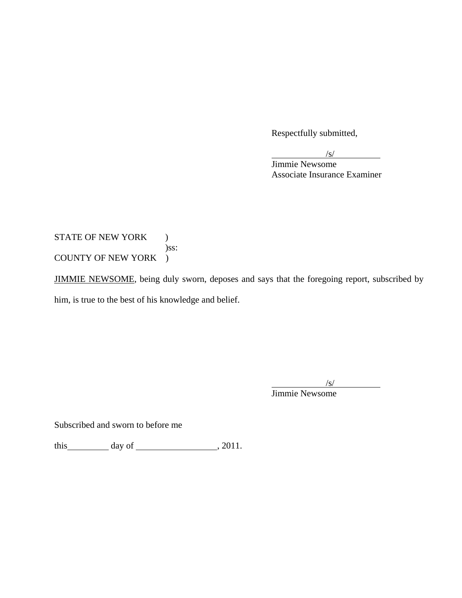Respectfully submitted,

 $\frac{1}{\sqrt{S}}$ 

 Jimmie Newsome Associate Insurance Examiner

STATE OF NEW YORK ) )ss: COUNTY OF NEW YORK )

JIMMIE NEWSOME, being duly sworn, deposes and says that the foregoing report, subscribed by him, is true to the best of his knowledge and belief.

 $\sqrt{s}$ /s/ Jimmie Newsome

Subscribed and sworn to before me

this  $\_\_\_\_$  day of  $\_\_\_\_\_\_$ , 2011.